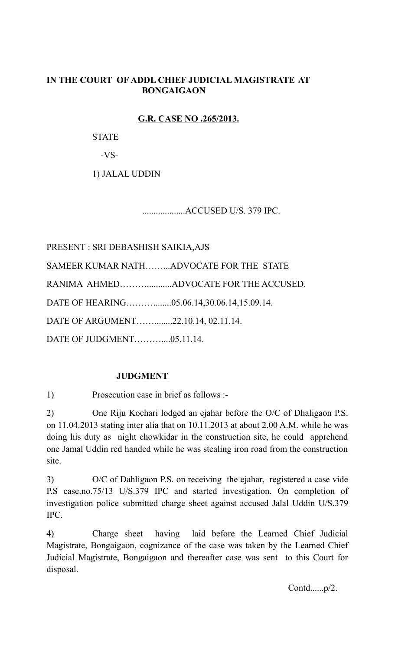## **IN THE COURT OF ADDL CHIEF JUDICIAL MAGISTRATE AT BONGAIGAON**

## **G.R. CASE NO .265/2013.**

**STATE** 

-VS-

1) JALAL UDDIN

...................ACCUSED U/S. 379 IPC.

PRESENT : SRI DEBASHISH SAIKIA,AJS

SAMEER KUMAR NATH……...ADVOCATE FOR THE STATE

RANIMA AHMED………...........ADVOCATE FOR THE ACCUSED.

DATE OF HEARING………........05.06.14,30.06.14,15.09.14.

DATE OF ARGUMENT……........22.10.14, 02.11.14.

DATE OF JUDGMENT………....05.11.14.

# **JUDGMENT**

1) Prosecution case in brief as follows :-

2) One Riju Kochari lodged an ejahar before the O/C of Dhaligaon P.S. on 11.04.2013 stating inter alia that on 10.11.2013 at about 2.00 A.M. while he was doing his duty as night chowkidar in the construction site, he could apprehend one Jamal Uddin red handed while he was stealing iron road from the construction site.

3) O/C of Dahligaon P.S. on receiving the ejahar, registered a case vide P.S case.no.75/13 U/S.379 IPC and started investigation. On completion of investigation police submitted charge sheet against accused Jalal Uddin U/S.379 IPC.

4) Charge sheet having laid before the Learned Chief Judicial Magistrate, Bongaigaon, cognizance of the case was taken by the Learned Chief Judicial Magistrate, Bongaigaon and thereafter case was sent to this Court for disposal.

Contd......p/2.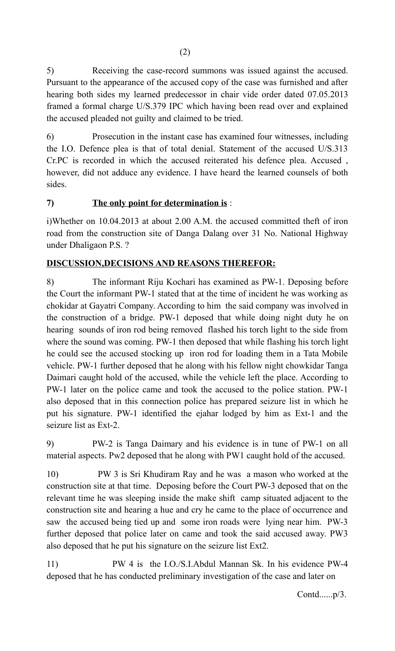5) Receiving the case-record summons was issued against the accused. Pursuant to the appearance of the accused copy of the case was furnished and after hearing both sides my learned predecessor in chair vide order dated 07.05.2013 framed a formal charge U/S.379 IPC which having been read over and explained the accused pleaded not guilty and claimed to be tried.

6) Prosecution in the instant case has examined four witnesses, including the I.O. Defence plea is that of total denial. Statement of the accused U/S.313 Cr.PC is recorded in which the accused reiterated his defence plea. Accused , however, did not adduce any evidence. I have heard the learned counsels of both sides.

# **7) The only point for determination is** :

i)Whether on 10.04.2013 at about 2.00 A.M. the accused committed theft of iron road from the construction site of Danga Dalang over 31 No. National Highway under Dhaligaon P.S. ?

# **DISCUSSION,DECISIONS AND REASONS THEREFOR:**

8) The informant Riju Kochari has examined as PW-1. Deposing before the Court the informant PW-1 stated that at the time of incident he was working as chokidar at Gayatri Company. According to him the said company was involved in the construction of a bridge. PW-1 deposed that while doing night duty he on hearing sounds of iron rod being removed flashed his torch light to the side from where the sound was coming. PW-1 then deposed that while flashing his torch light he could see the accused stocking up iron rod for loading them in a Tata Mobile vehicle. PW-1 further deposed that he along with his fellow night chowkidar Tanga Daimari caught hold of the accused, while the vehicle left the place. According to PW-1 later on the police came and took the accused to the police station. PW-1 also deposed that in this connection police has prepared seizure list in which he put his signature. PW-1 identified the ejahar lodged by him as Ext-1 and the seizure list as Ext-2.

9) PW-2 is Tanga Daimary and his evidence is in tune of PW-1 on all material aspects. Pw2 deposed that he along with PW1 caught hold of the accused.

10) PW 3 is Sri Khudiram Ray and he was a mason who worked at the construction site at that time. Deposing before the Court PW-3 deposed that on the relevant time he was sleeping inside the make shift camp situated adjacent to the construction site and hearing a hue and cry he came to the place of occurrence and saw the accused being tied up and some iron roads were lying near him. PW-3 further deposed that police later on came and took the said accused away. PW3 also deposed that he put his signature on the seizure list Ext2.

11) PW 4 is the I.O./S.I.Abdul Mannan Sk. In his evidence PW-4 deposed that he has conducted preliminary investigation of the case and later on

Contd......p/3.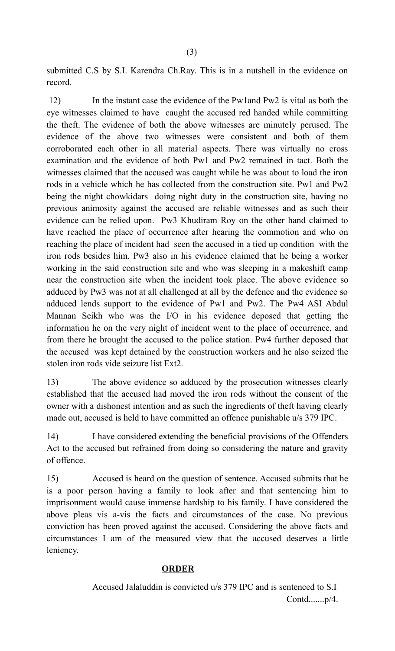submitted C.S by S.I. Karendra Ch.Ray. This is in a nutshell in the evidence on record.

 12) In the instant case the evidence of the Pw1and Pw2 is vital as both the eye witnesses claimed to have caught the accused red handed while committing the theft. The evidence of both the above witnesses are minutely perused. The evidence of the above two witnesses were consistent and both of them corroborated each other in all material aspects. There was virtually no cross examination and the evidence of both Pw1 and Pw2 remained in tact. Both the witnesses claimed that the accused was caught while he was about to load the iron rods in a vehicle which he has collected from the construction site. Pw1 and Pw2 being the night chowkidars doing night duty in the construction site, having no previous animosity against the accused are reliable witnesses and as such their evidence can be relied upon. Pw3 Khudiram Roy on the other hand claimed to have reached the place of occurrence after hearing the commotion and who on reaching the place of incident had seen the accused in a tied up condition with the iron rods besides him. Pw3 also in his evidence claimed that he being a worker working in the said construction site and who was sleeping in a makeshift camp near the construction site when the incident took place. The above evidence so adduced by Pw3 was not at all challenged at all by the defence and the evidence so adduced lends support to the evidence of Pw1 and Pw2. The Pw4 ASI Abdul Mannan Seikh who was the I/O in his evidence deposed that getting the information he on the very night of incident went to the place of occurrence, and from there he brought the accused to the police station. Pw4 further deposed that the accused was kept detained by the construction workers and he also seized the stolen iron rods vide seizure list Ext2.

13) The above evidence so adduced by the prosecution witnesses clearly established that the accused had moved the iron rods without the consent of the owner with a dishonest intention and as such the ingredients of theft having clearly made out, accused is held to have committed an offence punishable u/s 379 IPC.

14) I have considered extending the beneficial provisions of the Offenders Act to the accused but refrained from doing so considering the nature and gravity of offence.

15) Accused is heard on the question of sentence. Accused submits that he is a poor person having a family to look after and that sentencing him to imprisonment would cause immense hardship to his family. I have considered the above pleas vis a-vis the facts and circumstances of the case. No previous conviction has been proved against the accused. Considering the above facts and circumstances I am of the measured view that the accused deserves a little leniency.

#### **ORDER**

Accused Jalaluddin is convicted u/s 379 IPC and is sentenced to S.I Contd.......p/4.